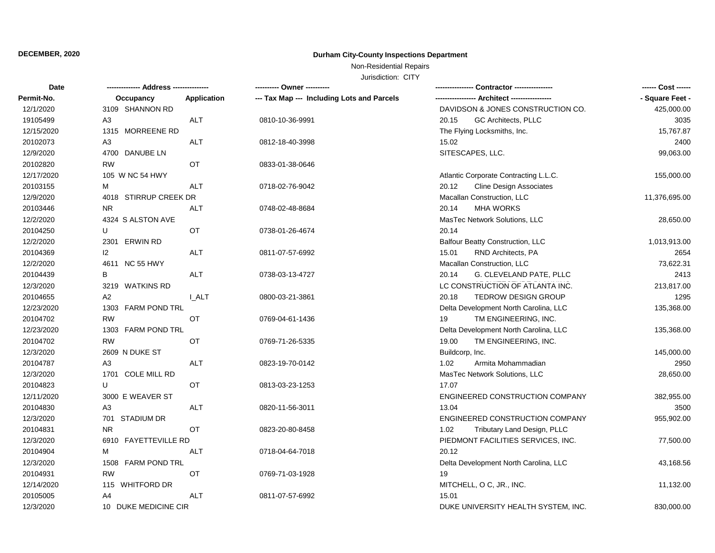## **DECEMBER, 2020 Durham City-County Inspections Department**

## Non-Residential Repairs

Jurisdiction: CITY

| <b>Date</b> | -- Address --------------- |                    |                                            | Contractor ---------------              | ------ Cost ------ |
|-------------|----------------------------|--------------------|--------------------------------------------|-----------------------------------------|--------------------|
| Permit-No.  | Occupancy                  | <b>Application</b> | --- Tax Map --- Including Lots and Parcels |                                         | - Square Feet -    |
| 12/1/2020   | 3109 SHANNON RD            |                    |                                            | DAVIDSON & JONES CONSTRUCTION CO.       | 425,000.00         |
| 19105499    | A <sub>3</sub>             | <b>ALT</b>         | 0810-10-36-9991                            | 20.15<br>GC Architects, PLLC            | 3035               |
| 12/15/2020  | 1315 MORREENE RD           |                    |                                            | The Flying Locksmiths, Inc.             | 15,767.87          |
| 20102073    | A3                         | <b>ALT</b>         | 0812-18-40-3998                            | 15.02                                   | 2400               |
| 12/9/2020   | 4700<br>DANUBE LN          |                    |                                            | SITESCAPES, LLC.                        | 99,063.00          |
| 20102820    | <b>RW</b>                  | OT                 | 0833-01-38-0646                            |                                         |                    |
| 12/17/2020  | 105 W NC 54 HWY            |                    |                                            | Atlantic Corporate Contracting L.L.C.   | 155,000.00         |
| 20103155    | м                          | <b>ALT</b>         | 0718-02-76-9042                            | 20.12<br><b>Cline Design Associates</b> |                    |
| 12/9/2020   | 4018 STIRRUP CREEK DR      |                    | Macallan Construction, LLC                 | 11,376,695.00                           |                    |
| 20103446    | NR.                        | <b>ALT</b>         | 0748-02-48-8684                            | <b>MHA WORKS</b><br>20.14               |                    |
| 12/2/2020   | 4324 S ALSTON AVE          |                    |                                            | MasTec Network Solutions, LLC           | 28,650.00          |
| 20104250    | U                          | OT                 | 0738-01-26-4674                            | 20.14                                   |                    |
| 12/2/2020   | ERWIN RD<br>2301           |                    |                                            | <b>Balfour Beatty Construction, LLC</b> | 1,013,913.00       |
| 20104369    | 2                          | <b>ALT</b>         | 0811-07-57-6992                            | 15.01<br>RND Architects, PA             | 2654               |
| 12/2/2020   | 4611 NC 55 HWY             |                    |                                            | Macallan Construction, LLC              | 73,622.31          |
| 20104439    | в                          | <b>ALT</b>         | 0738-03-13-4727                            | 20.14<br>G. CLEVELAND PATE, PLLC        | 2413               |
| 12/3/2020   | 3219 WATKINS RD            |                    |                                            | LC CONSTRUCTION OF ATLANTA INC.         | 213,817.00         |
| 20104655    | A <sub>2</sub>             | <b>I_ALT</b>       | 0800-03-21-3861                            | 20.18<br><b>TEDROW DESIGN GROUP</b>     | 1295               |
| 12/23/2020  | 1303 FARM POND TRL         |                    |                                            | Delta Development North Carolina, LLC   | 135,368.00         |
| 20104702    | <b>RW</b>                  | <b>OT</b>          | 0769-04-61-1436                            | 19<br>TM ENGINEERING, INC.              |                    |
| 12/23/2020  | 1303 FARM POND TRL         |                    |                                            | Delta Development North Carolina, LLC   | 135,368.00         |
| 20104702    | <b>RW</b>                  | OT                 | 0769-71-26-5335                            | TM ENGINEERING, INC.<br>19.00           |                    |
| 12/3/2020   | 2609 N DUKE ST             |                    |                                            | Buildcorp, Inc.                         | 145,000.00         |
| 20104787    | A <sub>3</sub>             | <b>ALT</b>         | 0823-19-70-0142                            | 1.02<br>Armita Mohammadian              | 2950               |
| 12/3/2020   | 1701 COLE MILL RD          |                    |                                            | MasTec Network Solutions, LLC           | 28,650.00          |
| 20104823    | U                          | OT                 | 0813-03-23-1253                            | 17.07                                   |                    |
| 12/11/2020  | 3000 E WEAVER ST           |                    |                                            | ENGINEERED CONSTRUCTION COMPANY         | 382,955.00         |
| 20104830    | A <sub>3</sub>             | <b>ALT</b>         | 0820-11-56-3011                            | 13.04                                   | 3500               |
| 12/3/2020   | <b>STADIUM DR</b><br>701   |                    |                                            | ENGINEERED CONSTRUCTION COMPANY         | 955,902.00         |
| 20104831    | <b>NR</b>                  | OT                 | 0823-20-80-8458                            | 1.02<br>Tributary Land Design, PLLC     |                    |
| 12/3/2020   | 6910 FAYETTEVILLE RD       |                    |                                            | PIEDMONT FACILITIES SERVICES, INC.      | 77,500.00          |
| 20104904    | M                          | <b>ALT</b>         | 0718-04-64-7018                            | 20.12                                   |                    |
| 12/3/2020   | 1508 FARM POND TRL         |                    |                                            | Delta Development North Carolina, LLC   | 43,168.56          |
| 20104931    | <b>RW</b>                  | ОT                 | 0769-71-03-1928                            | 19                                      |                    |
| 12/14/2020  | 115 WHITFORD DR            |                    |                                            | MITCHELL, O C, JR., INC.                | 11,132.00          |
| 20105005    | A4                         | <b>ALT</b>         | 0811-07-57-6992                            | 15.01                                   |                    |
| 12/3/2020   | 10 DUKE MEDICINE CIR       |                    |                                            | DUKE UNIVERSITY HEALTH SYSTEM, INC.     | 830,000.00         |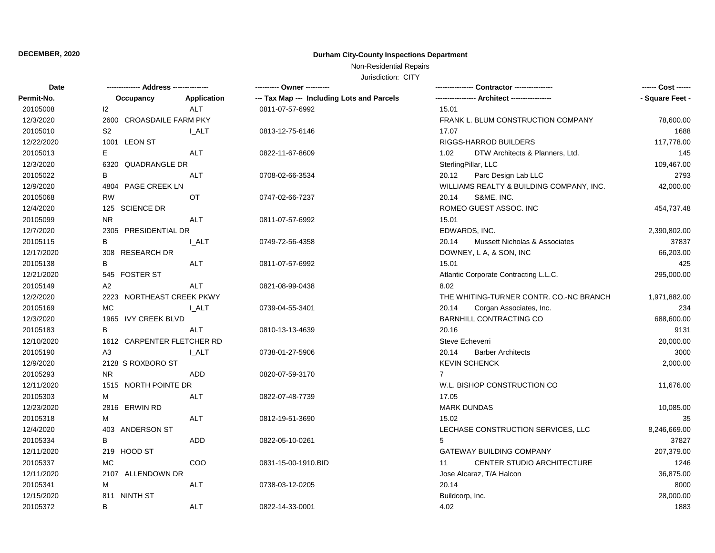## **DECEMBER, 2020 Durham City-County Inspections Department**

Non-Residential Repairs

Jurisdiction: CITY

| <b>Date</b> |                              |                    | ---------- Owner ----------                |                                                   | ------ Cost ------ |
|-------------|------------------------------|--------------------|--------------------------------------------|---------------------------------------------------|--------------------|
| Permit-No.  | Occupancy                    | <b>Application</b> | --- Tax Map --- Including Lots and Parcels | - Architect ----------------                      | - Square Feet -    |
| 20105008    | 12                           | <b>ALT</b>         | 0811-07-57-6992                            | 15.01                                             |                    |
| 12/3/2020   | 2600 CROASDAILE FARM PKY     |                    |                                            | FRANK L. BLUM CONSTRUCTION COMPANY                | 78,600.00          |
| 20105010    | S <sub>2</sub>               | <b>LALT</b>        | 0813-12-75-6146                            | 17.07                                             | 1688               |
| 12/22/2020  | 1001 LEON ST                 |                    |                                            | RIGGS-HARROD BUILDERS                             | 117,778.00         |
| 20105013    | Е                            | ALT                | 0822-11-67-8609                            | 1.02<br>DTW Architects & Planners, Ltd.           | 145                |
| 12/3/2020   | 6320 QUADRANGLE DR           |                    |                                            | SterlingPillar, LLC                               | 109,467.00         |
| 20105022    | В                            | <b>ALT</b>         | 0708-02-66-3534                            | 20.12<br>Parc Design Lab LLC                      | 2793               |
| 12/9/2020   | <b>PAGE CREEK LN</b><br>4804 |                    |                                            | WILLIAMS REALTY & BUILDING COMPANY, INC.          | 42,000.00          |
| 20105068    | <b>RW</b>                    | OT                 | 0747-02-66-7237                            | 20.14<br>S&ME, INC.                               |                    |
| 12/4/2020   | 125 SCIENCE DR               |                    |                                            | ROMEO GUEST ASSOC. INC                            | 454,737.48         |
| 20105099    | <b>NR</b>                    | <b>ALT</b>         | 0811-07-57-6992                            | 15.01                                             |                    |
| 12/7/2020   | 2305 PRESIDENTIAL DR         |                    |                                            | EDWARDS, INC.                                     | 2,390,802.00       |
| 20105115    | B                            | I ALT              | 0749-72-56-4358                            | 20.14<br><b>Mussett Nicholas &amp; Associates</b> | 37837              |
| 12/17/2020  | 308 RESEARCH DR              |                    |                                            | DOWNEY, L A, & SON, INC                           | 66,203.00          |
| 20105138    | B                            | <b>ALT</b>         | 0811-07-57-6992                            | 15.01                                             | 425                |
| 12/21/2020  | 545 FOSTER ST                |                    |                                            | Atlantic Corporate Contracting L.L.C.             | 295,000.00         |
| 20105149    | A2                           | <b>ALT</b>         | 0821-08-99-0438                            | 8.02                                              |                    |
| 12/2/2020   | 2223 NORTHEAST CREEK PKWY    |                    |                                            | THE WHITING-TURNER CONTR. CO.-NC BRANCH           | 1,971,882.00       |
| 20105169    | <b>MC</b>                    | I ALT              | 0739-04-55-3401                            | Corgan Associates, Inc.<br>20.14                  | 234                |
| 12/3/2020   | 1965 IVY CREEK BLVD          |                    |                                            | <b>BARNHILL CONTRACTING CO</b>                    | 688,600.00         |
| 20105183    | B                            | ALT                | 0810-13-13-4639                            | 20.16                                             | 9131               |
| 12/10/2020  | 1612 CARPENTER FLETCHER RD   |                    |                                            | Steve Echeverri                                   | 20,000.00          |
| 20105190    | A3                           | <b>I_ALT</b>       | 0738-01-27-5906                            | 20.14<br><b>Barber Architects</b>                 | 3000               |
| 12/9/2020   | 2128 S ROXBORO ST            |                    |                                            | <b>KEVIN SCHENCK</b>                              | 2,000.00           |
| 20105293    | <b>NR</b>                    | ADD                | 0820-07-59-3170                            | $\overline{7}$                                    |                    |
| 12/11/2020  | 1515 NORTH POINTE DR         |                    |                                            | W.L. BISHOP CONSTRUCTION CO                       | 11,676.00          |
| 20105303    | M                            | <b>ALT</b>         | 0822-07-48-7739                            | 17.05                                             |                    |
| 12/23/2020  | 2816 ERWIN RD                |                    |                                            | <b>MARK DUNDAS</b>                                | 10,085.00          |
| 20105318    | M                            | <b>ALT</b>         | 0812-19-51-3690                            | 15.02                                             | 35                 |
| 12/4/2020   | 403 ANDERSON ST              |                    |                                            | LECHASE CONSTRUCTION SERVICES, LLC                | 8,246,669.00       |
| 20105334    | B                            | <b>ADD</b>         | 0822-05-10-0261                            | 5                                                 | 37827              |
| 12/11/2020  | 219 HOOD ST                  |                    |                                            | <b>GATEWAY BUILDING COMPANY</b>                   | 207,379.00         |
| 20105337    | MC                           | COO                | 0831-15-00-1910.BID                        | CENTER STUDIO ARCHITECTURE<br>11                  | 1246               |
| 12/11/2020  | 2107 ALLENDOWN DR            |                    |                                            | Jose Alcaraz, T/A Halcon                          | 36,875.00          |
| 20105341    | M                            | <b>ALT</b>         | 0738-03-12-0205                            | 20.14                                             | 8000               |
| 12/15/2020  | 811 NINTH ST                 |                    |                                            | Buildcorp, Inc.                                   | 28,000.00          |
| 20105372    | B                            | <b>ALT</b>         | 0822-14-33-0001                            | 4.02                                              | 1883               |